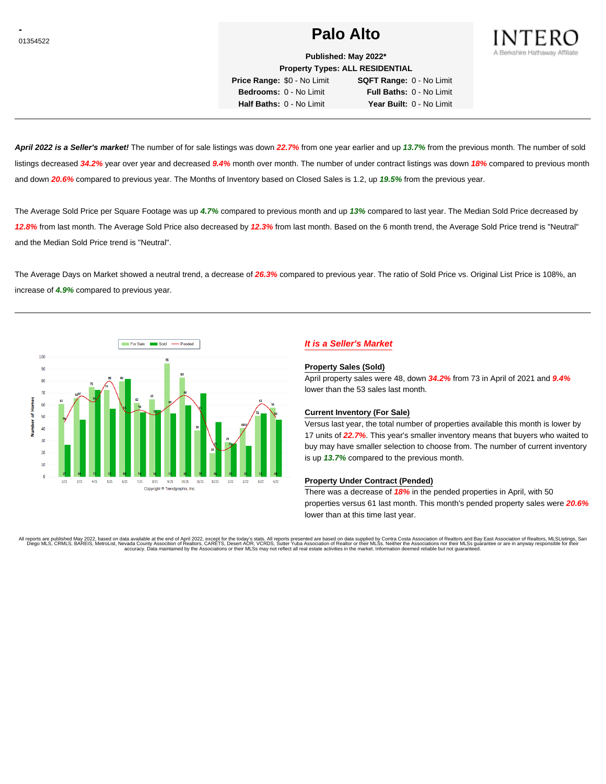# **Palo Alto Palo Alto**



**Published: May 2022\* Property Types: ALL RESIDENTIAL**

**Price Range:** \$0 - No Limit **SQFT Range:** 0 - No Limit **Bedrooms:** 0 - No Limit **Full Baths:** 0 - No Limit **Half Baths:** 0 - No Limit **Year Built:** 0 - No Limit

**April 2022 is a Seller's market!** The number of for sale listings was down **22.7%** from one year earlier and up **13.7%** from the previous month. The number of sold listings decreased **34.2%** year over year and decreased **9.4%** month over month. The number of under contract listings was down **18%** compared to previous month and down **20.6%** compared to previous year. The Months of Inventory based on Closed Sales is 1.2, up **19.5%** from the previous year.

The Average Sold Price per Square Footage was up **4.7%** compared to previous month and up **13%** compared to last year. The Median Sold Price decreased by **12.8%** from last month. The Average Sold Price also decreased by **12.3%** from last month. Based on the 6 month trend, the Average Sold Price trend is "Neutral" and the Median Sold Price trend is "Neutral".

The Average Days on Market showed a neutral trend, a decrease of **26.3%** compared to previous year. The ratio of Sold Price vs. Original List Price is 108%, an increase of **4.9%** compared to previous year.



# **It is a Seller's Market**

### **Property Sales (Sold)**

April property sales were 48, down **34.2%** from 73 in April of 2021 and **9.4%** lower than the 53 sales last month.

### **Current Inventory (For Sale)**

Versus last year, the total number of properties available this month is lower by 17 units of **22.7%**. This year's smaller inventory means that buyers who waited to buy may have smaller selection to choose from. The number of current inventory is up **13.7%** compared to the previous month.

### **Property Under Contract (Pended)**

There was a decrease of **18%** in the pended properties in April, with 50 properties versus 61 last month. This month's pended property sales were **20.6%** lower than at this time last year.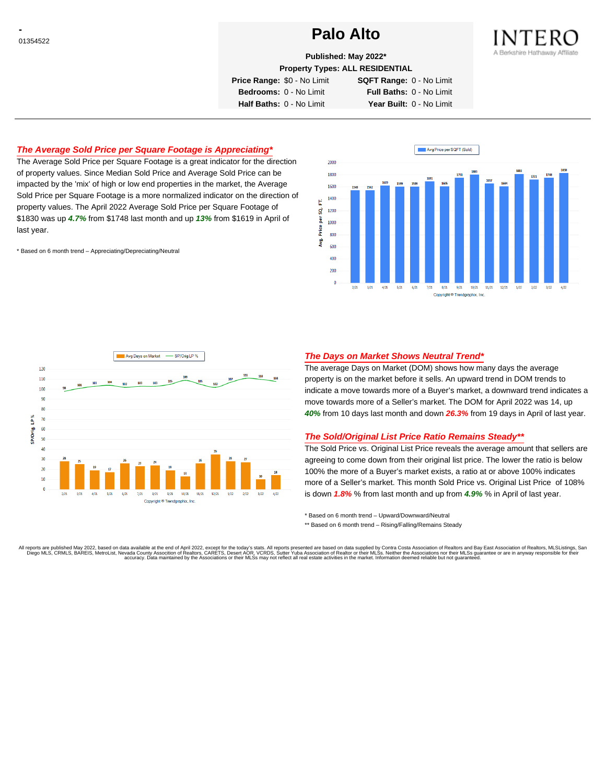# **Palo Alto Palo Alto**



# **Published: May 2022\***

**Property Types: ALL RESIDENTIAL**

**Price Range:** \$0 - No Limit **SQFT Range:** 0 - No Limit

**Bedrooms:** 0 - No Limit **Full Baths:** 0 - No Limit **Half Baths:** 0 - No Limit **Year Built:** 0 - No Limit

## **The Average Sold Price per Square Footage is Appreciating\***

The Average Sold Price per Square Footage is a great indicator for the direction of property values. Since Median Sold Price and Average Sold Price can be impacted by the 'mix' of high or low end properties in the market, the Average Sold Price per Square Footage is a more normalized indicator on the direction of property values. The April 2022 Average Sold Price per Square Footage of \$1830 was up **4.7%** from \$1748 last month and up **13%** from \$1619 in April of last year.

\* Based on 6 month trend – Appreciating/Depreciating/Neutral





## **The Days on Market Shows Neutral Trend\***

The average Days on Market (DOM) shows how many days the average property is on the market before it sells. An upward trend in DOM trends to indicate a move towards more of a Buyer's market, a downward trend indicates a move towards more of a Seller's market. The DOM for April 2022 was 14, up **40%** from 10 days last month and down **26.3%** from 19 days in April of last year.

### **The Sold/Original List Price Ratio Remains Steady\*\***

The Sold Price vs. Original List Price reveals the average amount that sellers are agreeing to come down from their original list price. The lower the ratio is below 100% the more of a Buyer's market exists, a ratio at or above 100% indicates more of a Seller's market. This month Sold Price vs. Original List Price of 108% is down **1.8%** % from last month and up from **4.9%** % in April of last year.

\* Based on 6 month trend – Upward/Downward/Neutral

\*\* Based on 6 month trend - Rising/Falling/Remains Steady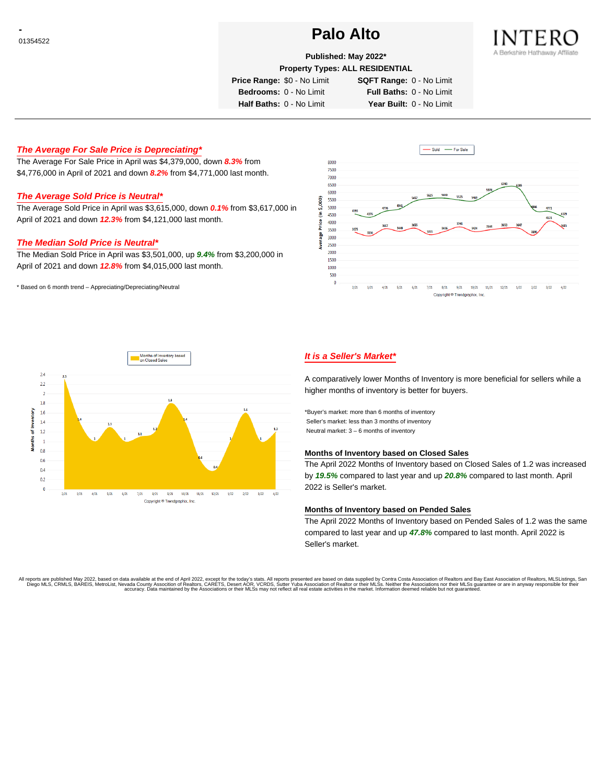# **Palo Alto Palo Alto**



## **Published: May 2022\***

**Property Types: ALL RESIDENTIAL**

**Price Range:** \$0 - No Limit **SQFT Range:** 0 - No Limit

**Bedrooms:** 0 - No Limit **Full Baths:** 0 - No Limit **Half Baths:** 0 - No Limit **Year Built:** 0 - No Limit

# **The Average For Sale Price is Depreciating\***

The Average For Sale Price in April was \$4,379,000, down **8.3%** from \$4,776,000 in April of 2021 and down **8.2%** from \$4,771,000 last month.

# **The Average Sold Price is Neutral\***

The Average Sold Price in April was \$3,615,000, down **0.1%** from \$3,617,000 in April of 2021 and down **12.3%** from \$4,121,000 last month.

## **The Median Sold Price is Neutral\***

The Median Sold Price in April was \$3,501,000, up **9.4%** from \$3,200,000 in April of 2021 and down **12.8%** from \$4,015,000 last month.

\* Based on 6 month trend – Appreciating/Depreciating/Neutral





# **It is a Seller's Market\***

A comparatively lower Months of Inventory is more beneficial for sellers while a higher months of inventory is better for buyers.

\*Buyer's market: more than 6 months of inventory Seller's market: less than 3 months of inventory Neutral market: 3 – 6 months of inventory

### **Months of Inventory based on Closed Sales**

The April 2022 Months of Inventory based on Closed Sales of 1.2 was increased by **19.5%** compared to last year and up **20.8%** compared to last month. April 2022 is Seller's market.

### **Months of Inventory based on Pended Sales**

The April 2022 Months of Inventory based on Pended Sales of 1.2 was the same compared to last year and up **47.8%** compared to last month. April 2022 is Seller's market.